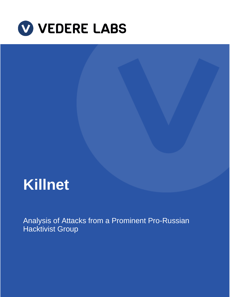

# **Killnet**

Analysis of Attacks from a Prominent Pro-Russian Hacktivist Group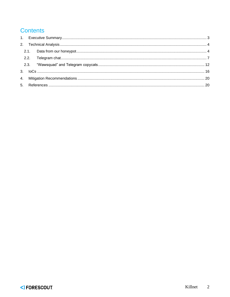### **Contents**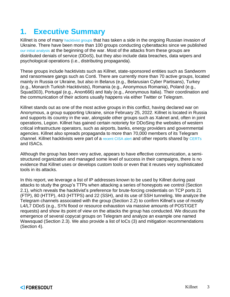# <span id="page-2-0"></span>**1. Executive Summary**

Killnet is one of many [hacktivist groups](https://cyberknow.medium.com/update-14-2022-russia-ukraine-war-cyber-group-tracker-may-22-b00ed4d899bf) that has taken a side in the ongoing Russian invasion of Ukraine. There have been more than 100 groups conducting cyberattacks since we published [our initial analysis](https://www.forescout.com/resources/monitoring-cyber-activities-connected-to-the-russian-ukrainian-conflict/) at the beginning of the war. Most of the attacks from these groups are distributed denials of service (DDoS), but they also include data breaches, data wipers and psychological operations (i.e., distributing propaganda).

These groups include hacktivists such as Killnet, state-sponsored entities such as Sandworm and ransomware gangs such as Conti. There are currently more than 70 active groups, located mainly in Russia or Ukraine, but also in Belarus (e.g., Belarusian Cyber Partisans), Turkey (e.g., Monarch Turkish Hacktivists), Romania (e.g., Anonymous Romania), Poland (e.g., Squad303), Portugal (e.g., Anon666) and Italy (e.g., Anonymous Italia). Their coordination and the communication of their actions usually happens via either Twitter or Telegram.

Killnet stands out as one of the most active groups in this conflict, having declared war on Anonymous, a group supporting Ukraine, since February 25, 2022. Killnet is located in Russia and supports its country in the war, alongside other groups such as Xaknet and, often in joint operations, Legion. Killnet has gained certain notoriety for DDoSing the websites of western critical infrastructure operators, such as airports, banks, energy providers and governmental agencies. Killnet also spreads propaganda to more than 70,000 members of its Telegram channel. Killnet hacktivists were part of a [recent CISA](https://www.cisa.gov/uscert/ncas/alerts/aa22-110a) alert and other reports shared by [CERTs](/Users/ctucker/Documents/Projects/Vedere%20Labs%20-%20Killnet%20Brief%20for%20Daniel/•%09https:/dnsc.ro/vezi/document/situatie-site-uri-cu-activitate-in-contextul-crizei-ucraina-rusia-plus-adrese-ip-specifice-utilizate-in-atacuri-malware) and ISACs.

Although the group has been very active, appears to have effective communication, a semistructured organization and managed some level of success in their campaigns, there is no evidence that Killnet uses or develops custom tools or even that it reuses very sophisticated tools in its attacks.

In this report, we leverage a list of IP addresses known to be used by Killnet during past attacks to study the group's TTPs when attacking a series of honeypots we control (Section 2.1), which reveals the hacktivist's preference for brute-forcing credentials on TCP ports 21 (FTP), 80 (HTTP), 443 (HTTPS) and 22 (SSH), and its use of SSH tunneling. We analyze the Telegram channels associated with the group (Section 2.2) to confirm Killnet's use of mostly L4/L7 DDoS (e.g., SYN flood or resource exhaustion via massive amounts of POST/GET requests) and show its point of view on the attacks the group has conducted. We discuss the emergence of several copycat groups on Telegram and analyze an example one named Wawsquad (Section 2.3). We also provide a list of IoCs (3) and mitigation recommendations (Section 4).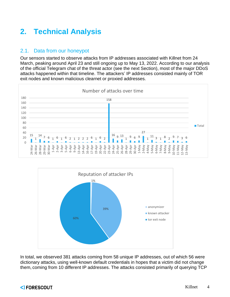# <span id="page-3-0"></span>**2. Technical Analysis**

#### <span id="page-3-1"></span>2.1. Data from our honeypot

Our sensors started to observe attacks from IP addresses associated with Killnet from 24 March, peaking around April 23 and still ongoing up to May 13, 2022. According to our analysis of the official Telegram chat of the threat actor (see the next Section), most of the major DDoS attacks happened within that timeline. The attackers' IP addresses consisted mainly of TOR exit nodes and known malicious clearnet or proxied addresses.





In total, we observed 381 attacks coming from 58 unique IP addresses, out of which 56 were dictionary attacks, using well-known default credentials in hopes that a victim did not change them, coming from 10 different IP addresses. The attacks consisted primarily of querying TCP

#### <) FORESCOUT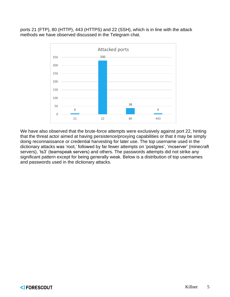ports 21 (FTP), 80 (HTTP), 443 (HTTPS) and 22 (SSH), which is in line with the attack methods we have observed discussed in the Telegram chat.



We have also observed that the brute-force attempts were exclusively against port 22, hinting that the threat actor aimed at having persistence/proxying capabilities or that it may be simply doing reconnaissance or credential harvesting for later use. The top username used in the dictionary attacks was 'root,' followed by far fewer attempts on 'postgres', 'mcserver' (minecraft servers), 'ts3' (teamspeak servers) and others. The passwords attempts did not strike any significant pattern except for being generally weak. Below is a distribution of top usernames and passwords used in the dictionary attacks.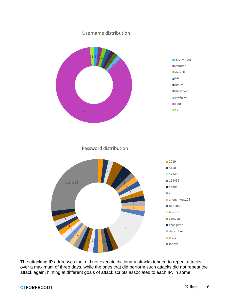



The attacking IP addresses that did not execute dictionary attacks tended to repeat attacks over a maximum of three days, while the ones that did perform such attacks did not repeat the attack again, hinting at different goals of attack scripts associated to each IP. In some

#### <) FORESCOUT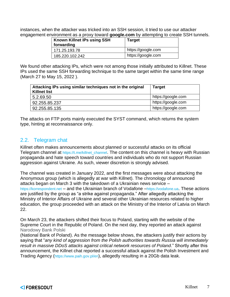instances, when the attacker was tricked into an SSH session, it tried to use our attacker engagement environment as a proxy toward **google.com** by attempting to create SSH tunnels.

| Known Killnet IPs using SSH<br>forwarding | <b>Target</b>      |
|-------------------------------------------|--------------------|
| 171.25.193.78                             | https://google.com |
| 185.220.102.242                           | https://google.com |

We found other attacking IPs, which were not among those initially attributed to Killnet. These IPs used the same SSH forwarding technique to the same target within the same time range (March 27 to May 15, 2022 ).

| Attacking IPs using similar techniques not in the original<br><b>Killnet list</b> | <b>Target</b>      |
|-----------------------------------------------------------------------------------|--------------------|
| 5.2.69.50                                                                         | https://google.com |
| 92.255.85.237                                                                     | https://google.com |
| 92.255.85.135                                                                     | https://google.com |

The attacks on FTP ports mainly executed the SYST command, which returns the system type, hinting at reconnaissance only.

#### <span id="page-6-0"></span>2.2. Telegram chat

Killnet often makes announcements about planned or successful attacks on its official Telegram channel at [https://t.me/killnet\\_channel](https://t.me/killnet_channel). The content on this channel is heavy with Russian propaganda and hate speech toward countries and individuals who do not support Russian aggression against Ukraine. As such, viewer discretion is strongly advised.

The channel was created in January 2022, and the first messages were about attacking the Anonymous group (which is allegedly at war with Killnet). The chronology of announced attacks began on March 3 with the takedown of a Ukrainian news service – [https://korrespondent.net](https://korrespondent.net/) – and the Ukrainian branch of Vodafone –[https://vodafone.ua](https://vodafone.ua/). These actions are justified by the group as "a strike against propaganda." After allegedly attacking the Ministry of Interior Affairs of Ukraine and several other Ukrainian resources related to higher education, the group proceeded with an attack on the Ministry of the Interior of Latvia on March 22.

On March 23, the attackers shifted their focus to Poland, starting with the website of the Supreme Court in the Republic of Poland. On the next day, they reported an attack against Narodowy Bank Polski

(National Bank of Poland). As the message below shows, the attackers justify their actions by saying that "*any kind of aggression from the Polish authorities towards Russia will immediately result in massive DDoS attacks against critical network resources of Poland.*" Shortly after this announcement, the Killnet chat reported a successful attack against the Polish Investment and Trading Agency (<https://www.paih.gov.pl/en>), allegedly resulting in a 20Gb data leak.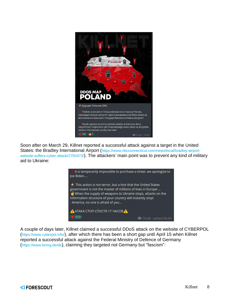

Soon after on March 29, Killnet reported a successful attack against a target in the United States: the Bradley International Airport ([https://www.nbcconnecticut.com/news/local/bradley-airport](https://www.nbcconnecticut.com/news/local/bradley-airport-website-suffers-cyber-attack/2750473/)[website-suffers-cyber-attack/2750473/](https://www.nbcconnecticut.com/news/local/bradley-airport-website-suffers-cyber-attack/2750473/)). The attackers' main point was to prevent any kind of military aid to Ukraine:



A couple of days later, Killnet claimed a successful DDoS attack on the website of CYBERPOL (<https://www.cyberpol.info/>), after which there has been a short gap until April 15 when Killnet reported a successful attack against the Federal Ministry of Defence of Germany (<https://www.bmvg.de/de>), claiming they targeted not Germany but "fascism":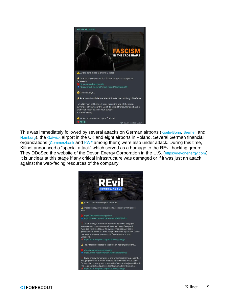

This was immediately followed by several attacks on German airports ([Koeln-Bonn](https://www.koeln-bonn-airport.de/), [Bremen](https://www.bremen-airport.com/) and [Hamburg](https://www.hamburg-airport.de/de)), the [Gatwick](https://www.gatwickairport.com/) airport in the UK and eight airports in Poland. Several German financial organizations ([Commerzbank](https://www.commerzbank.de/) and [KWF](https://www.kfw-entwicklungsbank.de/International-financing/KfW-Entwicklungsbank/) among them) were also under attack. During this time, Killnet announced a "special attack" which served as a homage to the REvil hacking group: They DDoSed the website of the Devon Energy Corporation in the U.S. ([https://devonenergy.com](https://devonenergy.com/)). It is unclear at this stage if any critical infrastructure was damaged or if it was just an attack against the web-facing resources of the company.

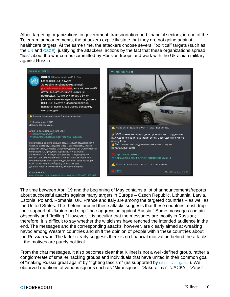Albeit targeting organizations in government, transportation and financial sectors, in one of the Telegram announcements, the attackers explicitly state that they are not going against healthcare targets. At the same time, the attackers choose several "political" targets (such as the [UN](https://www.un.org/) and [OSCE](https://www.osce.org/)), justifying the attackers' actions by the fact that these organizations spread "lies" about the war crimes committed by Russian troops and work with the Ukrainian military against Russia.



The time between April 19 and the beginning of May contains a lot of announcements/reports about successful attacks against many targets in Europe – Czech Republic, Lithuania, Latvia, Estonia, Poland, Romania, UK, France and Italy are among the targeted countries – as well as the United States. The rhetoric around these attacks suggests that these countries must drop their support of Ukraine and stop "their aggression against Russia." Some messages contain obscenity and "trolling." However, it is peculiar that the messages are mostly in Russian; therefore, it is difficult to say whether the witticisms have reached the intended audience in the end. The messages and the corresponding attacks, however, are clearly aimed at wreaking havoc among Western countries and shift the opinion of people within these countries about the Russian war. The latter clearly suggests there is no financial motivation behind the attacks – the motives are purely political.

From the chat messages, it also becomes clear that Killnet is not a well-defined group, rather a conglomerate of smaller hacking groups and individuals that have united in their common goal of "making Russia great again" by "fighting fascism" (as supported by [other investigation](https://cyberknow.medium.com/killnet-pro-russian-hacktivists-e916ac7201a3)). We observed mentions of various squads such as "Mirai squad", "Sakurajima", "JACKY", "Zaря"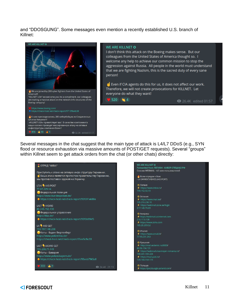and "DDOSGUNG". Some messages even mention a recently established U.S. branch of Killnet:



#### **WE ARE KILLNET O**

 $\bullet$  520  $\bullet$  4

I don't think this attack on the Boeing makes sense. But our colleagues from the United States of America thought so. I welcome any help to achieve our common mission to stop the aggression against Russia. All people in the world must understand that we are fighting Nazism, this is the sacred duty of every sane person!

Even if CIA agents do this for us, it does not affect our work. Therefore, we will not create provocations for KILLNET. Let everyone do what they want!

**@** 26.4K edited 01:57

Several messages in the chat suggest that the main type of attack is L4/L7 DDoS (e.g., SYN flood or resource exhaustion via massive amounts of POST/GET requests). Several "groups" within Killnet seem to get attack orders from the chat (or other chats) directly:

| <b>V ОТРЯД "MIRAI"</b>                                 | <b>WE ARE KILLNET O</b>                        |
|--------------------------------------------------------|------------------------------------------------|
|                                                        | Forwarded from ЛЕГИОН - КИБЕР СПЕЦНАЗ РФ       |
| Приступить к атаке на сетевую инфо структуру Германии. | Сносим WEBMAIL - 4.5 млн пользователей         |
| Ваша атака является протестом правительству Германии,  | Всем отрядам к Бою                             |
| мы против поставок оружия на Украину.                  | - L4 ЭФФЕКТИВНЕЕ (443 PORT)                    |
|                                                        |                                                |
| L7/4 443 POST                                          | -О-Латвия                                      |
| 77.87.229.14                                           | https://www.inbox.lv/                          |
| <b>•</b> Федеральная полиция                           | 194.152.32.10                                  |
|                                                        |                                                |
| https://www.bundespolizei.de/                          | <b>О.</b> Эстония                              |
| ◆ https://check-host.net/check-report/95f091ek88e      | https://www.mail.ee/                           |
|                                                        | 195.216.236.10                                 |
| $L4/7$ 443/80                                          | ← https://webmail.zone.ee/login                |
| 80.245.152.130                                         | 217.146.70.69                                  |
| <b>•</b> Федеральное управление                        | <b>Ф</b> : Америка                             |
| https://bka.de/                                        | ← https://webmail.usinternet.com               |
| ◆ https://check-host.net/check-report/95f0b99kf5       | 216 17 3 128                                   |
|                                                        | <b>★ https://www.zoho.com</b>                  |
| L4 443 GET                                             | 185.20.209.52                                  |
| 193.197.148.208                                        |                                                |
| • Копы - Баден Вюртенберг                              | • Италия                                       |
|                                                        | https://www.email.it/                          |
| https://www.polizei-bw.de/                             | 77 93.251 253                                  |
| https://check-host.net/check-report/95ee5cfkc33        |                                                |
|                                                        | <b>Ф. Румыния</b>                              |
| L4/7 443/80 GET                                        | http://mail.erdemir.ro:8000/<br>80 96 134 131  |
| 195.200.71.149                                         | ← https://webmail.maxmeyer-romania.ro/         |
| <b>•</b> Копы - Бавария                                | 188.241.183.228                                |
| https://www.polizei.bayern.de/                         | ← https://mail.pab.ro/                         |
| ♦ https://check-host.net/check-report/95eeb79k5a8      | 109.166.154.174                                |
|                                                        |                                                |
| $\bigcirc$ 777 $\bigcirc$ 7                            | О Польша                                       |
|                                                        | 24.4K 21:13<br>https://poczta.egis-poland.com/ |
|                                                        |                                                |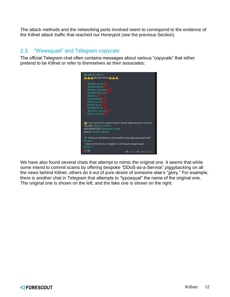The attack methods and the networking ports involved seem to correspond to the evidence of the Killnet attack traffic that reached our Honeypot (see the previous Section).

#### <span id="page-11-0"></span>2.3. "Wawsquad" and Telegram copycats

The official Telegram chat often contains messages about various "copycats" that either pretend to be Killnet or refer to themselves as their associates:



We have also found several chats that attempt to mimic the original one. It seems that while some intend to commit scams by offering bespoke "DDoS-as-a-Service" piggybacking on all the news behind Killnet, others do it out of pure desire of someone else's "glory." For example, there is another chat in Telegram that attempts to "typosquat" the name of the original one. The original one is shown on the left, and the fake one is shown on the right: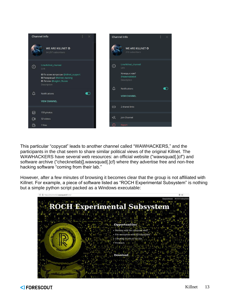

This particular "copycat" leads to another channel called "WAWHACKERS," and the participants in the chat seem to share similar political views of the original Killnet. The WAWHACKERS have several web resources: an official website ("wawsquad[.]cf") and software archive ("checknetlab[].wawsquad[.]cf) where they advertise free and non-free hacking software "coming from their lab."

However, after a few minutes of browsing it becomes clear that the group is not affiliated with Killnet. For example, a piece of software listed as "ROCH Experimental Subsystem" is nothing but a simple python script packed as a Windows executable:

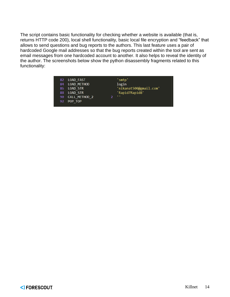The script contains basic functionality for checking whether a website is available (that is, returns HTTP code 200), local shell functionality, basic local file encryption and "feedback" that allows to send questions and bug reports to the authors. This last feature uses a pair of hardcoded Google mail addresses so that the bug reports created within the tool are sent as email messages from one hardcoded account to another. It also helps to reveal the identity of the author. The screenshots below show the python disassembly fragments related to this functionality:

| 82  | LOAD FAST          | 'smtp'                 |  |
|-----|--------------------|------------------------|--|
| 84  | <b>LOAD METHOD</b> | login                  |  |
| 86  | <b>LOAD STR</b>    | 'nikanat500@gmail.com' |  |
| 88  | <b>LOAD STR</b>    | 'Rapid7Rapid8'         |  |
| 90  | CALL METHOD 2      | $\mathbf{r}$           |  |
| 92. | POP TOP            |                        |  |
|     |                    |                        |  |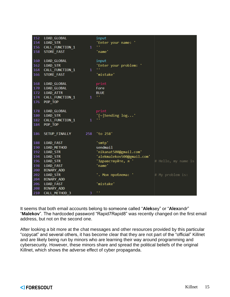| $152 -$    | LOAD GLOBAL             |              | input                      |                     |
|------------|-------------------------|--------------|----------------------------|---------------------|
|            | 154 LOAD STR            |              | 'Enter your name: '<br>n m |                     |
|            | 156 CALL FUNCTION 1     | $\mathbf{1}$ |                            |                     |
| 158        | STORE FAST              |              | 'name'                     |                     |
| 160        | LOAD_GLOBAL             |              | input                      |                     |
| 162        | <b>LOAD STR</b>         |              | 'Enter your problem: '     |                     |
| 164        | CALL_FUNCTION_1         | $\mathbf{1}$ |                            |                     |
| 166        | STORE_FAST              |              | 'mistake'                  |                     |
|            |                         |              |                            |                     |
| 168        | LOAD GLOBAL             |              | print                      |                     |
| 170        | LOAD GLOBAL             |              | Fore                       |                     |
|            | 172 LOAD_ATTR           |              | <b>BLUE</b>                |                     |
| 174        | CALL FUNCTION 1         | $\mathbf{1}$ | н.                         |                     |
| 176        | POP TOP                 |              |                            |                     |
|            |                         |              |                            |                     |
| 178        | LOAD GLOBAL             |              | print                      |                     |
|            | 180 LOAD STR            |              | $'[\sim]$ Sending $log$    |                     |
| 182        | CALL_FUNCTION_1         | $\mathbf{1}$ |                            |                     |
| 184        | POP TOP                 |              |                            |                     |
|            |                         |              |                            |                     |
| 186        | SETUP FINALLY           | 258          | 'to 258'                   |                     |
|            |                         |              |                            |                     |
| 188<br>190 | LOAD FAST               |              | 'smtp'<br>sendmail         |                     |
| 192        | LOAD METHOD<br>LOAD STR |              | 'nikanat500@gmail.com'     |                     |
| 194        | <b>LOAD STR</b>         |              | 'alekmalekov500@gmail.com' |                     |
| 196        | <b>LOAD STR</b>         |              | 'Здравствуйте, я '         | # Hello, my name is |
| 198        | LOAD FAST               |              | 'name'                     |                     |
| 200        | BINARY ADD              |              |                            |                     |
| 202        | LOAD_STR                |              | '. Моя проблема: '         | # My problem is:    |
| 204        | BINARY_ADD              |              |                            |                     |
| 206        | LOAD FAST               |              | 'mistake'                  |                     |
| 208        | BINARY_ADD              |              |                            |                     |
| 210        | CALL METHOD 3           | 3            | n n                        |                     |

It seems that both email accounts belong to someone called "**Alek**sey" or "**Alex**andr" "**Malekov**". The hardcoded password "Rapid7Rapid8" was recently changed on the first email address, but not on the second one.

After looking a bit more at the chat messages and other resources provided by this particular "copycat" and several others, it has become clear that they are not part of the "official" Killnet and are likely being run by minors who are learning their way around programming and cybersecurity. However, these minors share and spread the political beliefs of the original Killnet, which shows the adverse effect of cyber propaganda.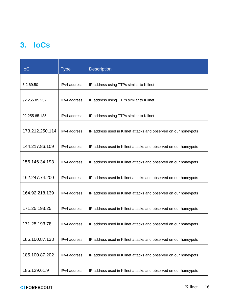# <span id="page-15-0"></span>**3. IoCs**

| <b>IoC</b>      | <b>Type</b>  | <b>Description</b>                                               |
|-----------------|--------------|------------------------------------------------------------------|
| 5.2.69.50       | IPv4 address | IP address using TTPs similar to Killnet                         |
| 92.255.85.237   | IPv4 address | IP address using TTPs similar to Killnet                         |
| 92.255.85.135   | IPv4 address | IP address using TTPs similar to Killnet                         |
| 173.212.250.114 | IPv4 address | IP address used in Killnet attacks and observed on our honeypots |
| 144.217.86.109  | IPv4 address | IP address used in Killnet attacks and observed on our honeypots |
| 156.146.34.193  | IPv4 address | IP address used in Killnet attacks and observed on our honeypots |
| 162.247.74.200  | IPv4 address | IP address used in Killnet attacks and observed on our honeypots |
| 164.92.218.139  | IPv4 address | IP address used in Killnet attacks and observed on our honeypots |
| 171.25.193.25   | IPv4 address | IP address used in Killnet attacks and observed on our honeypots |
| 171.25.193.78   |              |                                                                  |
|                 | IPv4 address | IP address used in Killnet attacks and observed on our honeypots |
| 185.100.87.133  | IPv4 address | IP address used in Killnet attacks and observed on our honeypots |
| 185.100.87.202  | IPv4 address | IP address used in Killnet attacks and observed on our honeypots |
| 185.129.61.9    | IPv4 address | IP address used in Killnet attacks and observed on our honeypots |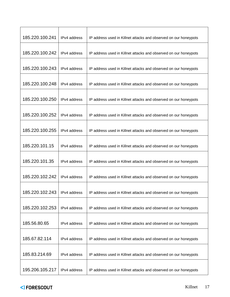| 185.220.100.241 | IPv4 address | IP address used in Killnet attacks and observed on our honeypots |
|-----------------|--------------|------------------------------------------------------------------|
| 185.220.100.242 | IPv4 address | IP address used in Killnet attacks and observed on our honeypots |
| 185.220.100.243 | IPv4 address | IP address used in Killnet attacks and observed on our honeypots |
| 185.220.100.248 | IPv4 address | IP address used in Killnet attacks and observed on our honeypots |
| 185.220.100.250 | IPv4 address | IP address used in Killnet attacks and observed on our honeypots |
| 185.220.100.252 | IPv4 address | IP address used in Killnet attacks and observed on our honeypots |
| 185.220.100.255 | IPv4 address | IP address used in Killnet attacks and observed on our honeypots |
| 185.220.101.15  | IPv4 address | IP address used in Killnet attacks and observed on our honeypots |
| 185.220.101.35  | IPv4 address | IP address used in Killnet attacks and observed on our honeypots |
| 185.220.102.242 | IPv4 address | IP address used in Killnet attacks and observed on our honeypots |
| 185.220.102.243 | IPv4 address | IP address used in Killnet attacks and observed on our honeypots |
| 185.220.102.253 | IPv4 address | IP address used in Killnet attacks and observed on our honeypots |
| 185.56.80.65    | IPv4 address | IP address used in Killnet attacks and observed on our honeypots |
| 185.67.82.114   | IPv4 address | IP address used in Killnet attacks and observed on our honeypots |
| 185.83.214.69   | IPv4 address | IP address used in Killnet attacks and observed on our honeypots |
| 195.206.105.217 | IPv4 address | IP address used in Killnet attacks and observed on our honeypots |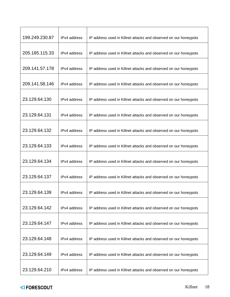| 199.249.230.87 | IPv4 address | IP address used in Killnet attacks and observed on our honeypots |
|----------------|--------------|------------------------------------------------------------------|
| 205.185.115.33 | IPv4 address | IP address used in Killnet attacks and observed on our honeypots |
| 209.141.57.178 | IPv4 address | IP address used in Killnet attacks and observed on our honeypots |
| 209.141.58.146 | IPv4 address | IP address used in Killnet attacks and observed on our honeypots |
| 23.129.64.130  | IPv4 address | IP address used in Killnet attacks and observed on our honeypots |
| 23.129.64.131  | IPv4 address | IP address used in Killnet attacks and observed on our honeypots |
| 23.129.64.132  | IPv4 address | IP address used in Killnet attacks and observed on our honeypots |
| 23.129.64.133  | IPv4 address | IP address used in Killnet attacks and observed on our honeypots |
| 23.129.64.134  | IPv4 address | IP address used in Killnet attacks and observed on our honeypots |
| 23.129.64.137  | IPv4 address | IP address used in Killnet attacks and observed on our honeypots |
| 23.129.64.139  | IPv4 address | IP address used in Killnet attacks and observed on our honeypots |
| 23.129.64.142  | IPv4 address | IP address used in Killnet attacks and observed on our honeypots |
| 23.129.64.147  | IPv4 address | IP address used in Killnet attacks and observed on our honeypots |
| 23.129.64.148  | IPv4 address | IP address used in Killnet attacks and observed on our honeypots |
| 23.129.64.149  | IPv4 address | IP address used in Killnet attacks and observed on our honeypots |
| 23.129.64.210  | IPv4 address | IP address used in Killnet attacks and observed on our honeypots |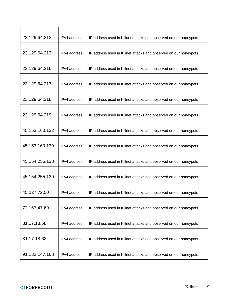| 23.129.64.212  | IPv4 address | IP address used in Killnet attacks and observed on our honeypots |
|----------------|--------------|------------------------------------------------------------------|
| 23.129.64.213  | IPv4 address | IP address used in Killnet attacks and observed on our honeypots |
| 23.129.64.216  | IPv4 address | IP address used in Killnet attacks and observed on our honeypots |
| 23.129.64.217  | IPv4 address | IP address used in Killnet attacks and observed on our honeypots |
| 23.129.64.218  | IPv4 address | IP address used in Killnet attacks and observed on our honeypots |
| 23.129.64.219  | IPv4 address | IP address used in Killnet attacks and observed on our honeypots |
| 45.153.160.132 | IPv4 address | IP address used in Killnet attacks and observed on our honeypots |
| 45.153.160.139 | IPv4 address | IP address used in Killnet attacks and observed on our honeypots |
| 45.154.255.138 | IPv4 address | IP address used in Killnet attacks and observed on our honeypots |
| 45.154.255.139 | IPv4 address | IP address used in Killnet attacks and observed on our honeypots |
| 45.227.72.50   | IPv4 address | IP address used in Killnet attacks and observed on our honeypots |
| 72.167.47.69   | IPv4 address | IP address used in Killnet attacks and observed on our honeypots |
| 81.17.18.58    | IPv4 address | IP address used in Killnet attacks and observed on our honeypots |
| 81.17.18.62    | IPv4 address | IP address used in Killnet attacks and observed on our honeypots |
| 91.132.147.168 | IPv4 address | IP address used in Killnet attacks and observed on our honeypots |